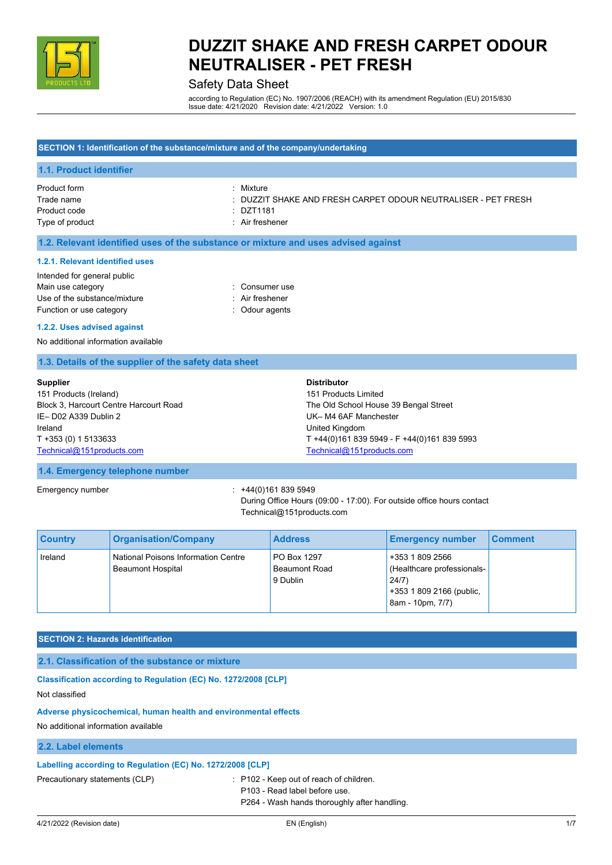

### Safety Data Sheet

according to Regulation (EC) No. 1907/2006 (REACH) with its amendment Regulation (EU) 2015/830 Issue date: 4/21/2020 Revision date: 4/21/2022 Version: 1.0

#### **SECTION 1: Identification of the substance/mixture and of the company/undertaking**

#### **1.1. Product identifier**

| Product form    | : Mixture                                                     |
|-----------------|---------------------------------------------------------------|
| Trade name      | : DUZZIT SHAKE AND FRESH CARPET ODOUR NEUTRALISER - PET FRESH |
| Product code    | DZT1181 ·                                                     |
| Type of product | : Air freshener                                               |

#### **1.2. Relevant identified uses of the substance or mixture and uses advised against**

#### **1.2.1. Relevant identified uses**

| : Consumer use  |
|-----------------|
| : Air freshener |
| : Odour agents  |
|                 |

#### **1.2.2. Uses advised against**

No additional information available

#### **1.3. Details of the supplier of the safety data sheet**

| <b>Supplier</b>                        | <b>Distributor</b>                          |
|----------------------------------------|---------------------------------------------|
| 151 Products (Ireland)                 | 151 Products Limited                        |
| Block 3, Harcourt Centre Harcourt Road | The Old School House 39 Bengal Street       |
| IE-D02 A339 Dublin 2                   | UK-M4 6AF Manchester                        |
| Ireland                                | United Kingdom                              |
| T +353 (0) 1 5133633                   | T +44(0)161 839 5949 - F +44(0)161 839 5993 |
| Technical@151products.com              | Technical@151products.com                   |

#### **1.4. Emergency telephone number**

Emergency number : +44(0)161 839 5949

During Office Hours (09:00 - 17:00). For outside office hours contact Technical@151products.com

| <b>Country</b> | <b>Organisation/Company</b>                                     | <b>Address</b>                                  | <b>Emergency number</b>                                                                                | <b>Comment</b> |
|----------------|-----------------------------------------------------------------|-------------------------------------------------|--------------------------------------------------------------------------------------------------------|----------------|
| Ireland        | National Poisons Information Centre<br><b>Beaumont Hospital</b> | PO Box 1297<br><b>Beaumont Road</b><br>9 Dublin | +353 1 809 2566<br>(Healthcare professionals-<br>24/7)<br>+353 1 809 2166 (public,<br>8am - 10pm, 7/7) |                |

#### **SECTION 2: Hazards identification**

**2.1. Classification of the substance or mixture**

**Classification according to Regulation (EC) No. 1272/2008 [CLP]** Not classified

#### **Adverse physicochemical, human health and environmental effects**

No additional information available

#### **2.2. Label elements**

#### **Labelling according to Regulation (EC) No. 1272/2008 [CLP]**

Precautionary statements (CLP) : P102 - Keep out of reach of children. P103 - Read label before use. P264 - Wash hands thoroughly after handling.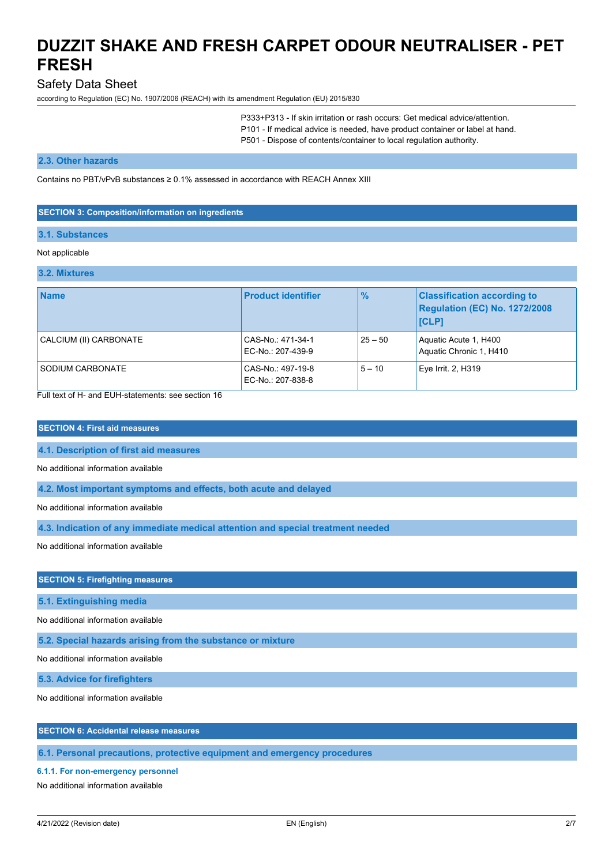### Safety Data Sheet

according to Regulation (EC) No. 1907/2006 (REACH) with its amendment Regulation (EU) 2015/830

P333+P313 - If skin irritation or rash occurs: Get medical advice/attention. P101 - If medical advice is needed, have product container or label at hand. P501 - Dispose of contents/container to local regulation authority.

#### **2.3. Other hazards**

Contains no PBT/vPvB substances  $\geq 0.1\%$  assessed in accordance with REACH Annex XIII

#### **SECTION 3: Composition/information on ingredients**

#### **3.1. Substances**

#### Not applicable

| 3.2. Mixtures |  |
|---------------|--|
|               |  |

| <b>Name</b>            | <b>Product identifier</b>              | $\frac{9}{6}$ | <b>Classification according to</b><br><b>Regulation (EC) No. 1272/2008</b><br><b>[CLP]</b> |
|------------------------|----------------------------------------|---------------|--------------------------------------------------------------------------------------------|
| CALCIUM (II) CARBONATE | CAS-No.: 471-34-1<br>EC-No.: 207-439-9 | $25 - 50$     | Aquatic Acute 1, H400<br>Aquatic Chronic 1, H410                                           |
| SODIUM CARBONATE       | CAS-No.: 497-19-8<br>EC-No.: 207-838-8 | $5 - 10$      | Eye Irrit. 2, H319                                                                         |

Full text of H- and EUH-statements: see section 16

#### **SECTION 4: First aid measures**

**4.1. Description of first aid measures**

No additional information available

**4.2. Most important symptoms and effects, both acute and delayed**

No additional information available

**4.3. Indication of any immediate medical attention and special treatment needed**

No additional information available

#### **SECTION 5: Firefighting measures**

**5.1. Extinguishing media**

No additional information available

**5.2. Special hazards arising from the substance or mixture**

No additional information available

**5.3. Advice for firefighters**

No additional information available

#### **SECTION 6: Accidental release measures**

**6.1. Personal precautions, protective equipment and emergency procedures**

#### **6.1.1. For non-emergency personnel**

No additional information available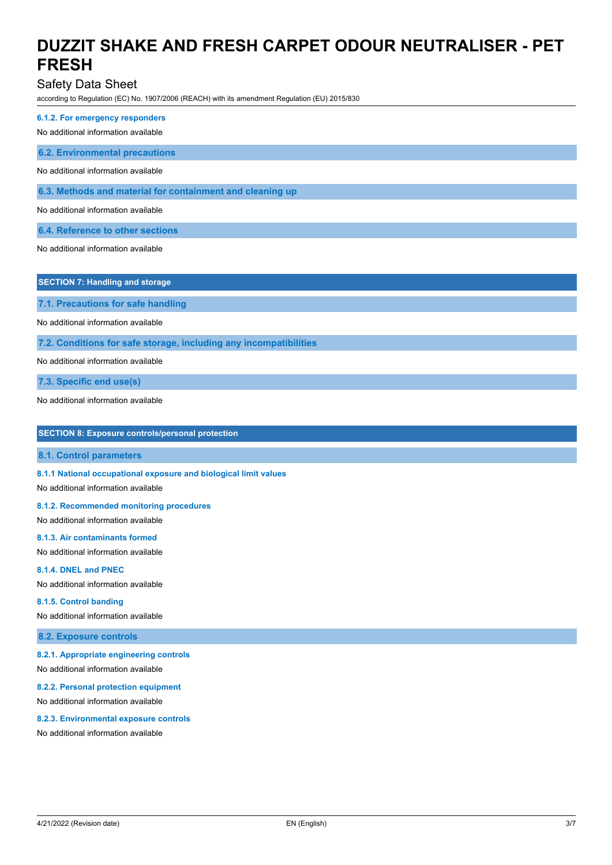Safety Data Sheet

according to Regulation (EC) No. 1907/2006 (REACH) with its amendment Regulation (EU) 2015/830

**6.1.2. For emergency responders**

No additional information available

**6.2. Environmental precautions**

No additional information available

**6.3. Methods and material for containment and cleaning up**

No additional information available

**6.4. Reference to other sections**

No additional information available

**SECTION 7: Handling and storage**

**7.1. Precautions for safe handling**

No additional information available

**7.2. Conditions for safe storage, including any incompatibilities**

No additional information available

**7.3. Specific end use(s)**

No additional information available

| <b>SECTION 8: Exposure controls/personal protection</b> |  |  |  |
|---------------------------------------------------------|--|--|--|
|---------------------------------------------------------|--|--|--|

**8.1. Control parameters**

**8.1.1 National occupational exposure and biological limit values**

No additional information available

**8.1.2. Recommended monitoring procedures**

No additional information available

### **8.1.3. Air contaminants formed**

No additional information available

#### **8.1.4. DNEL and PNEC**

No additional information available

#### **8.1.5. Control banding**

No additional information available

**8.2. Exposure controls**

#### **8.2.1. Appropriate engineering controls**

No additional information available

#### **8.2.2. Personal protection equipment**

No additional information available

#### **8.2.3. Environmental exposure controls**

No additional information available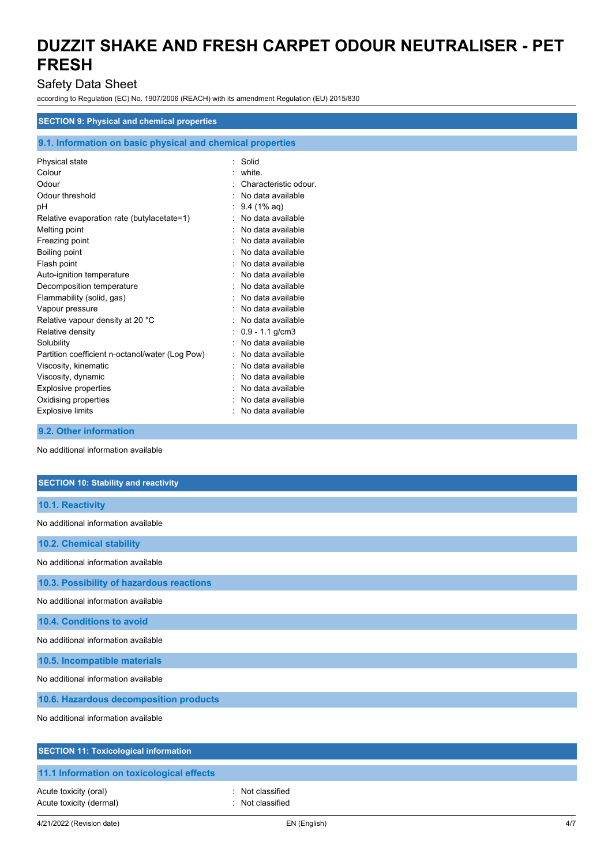### Safety Data Sheet

according to Regulation (EC) No. 1907/2006 (REACH) with its amendment Regulation (EU) 2015/830

#### **SECTION 9: Physical and chemical properties**

|  |  | 9.1. Information on basic physical and chemical properties |
|--|--|------------------------------------------------------------|
|  |  |                                                            |

| Physical state                                  | Solid<br>٠            |  |
|-------------------------------------------------|-----------------------|--|
| Colour                                          | white                 |  |
| Odour                                           | Characteristic odour  |  |
| Odour threshold                                 | No data available     |  |
| рH                                              | $9.4(1\% \text{ aq})$ |  |
| Relative evaporation rate (butylacetate=1)      | No data available     |  |
| Melting point                                   | No data available     |  |
| Freezing point                                  | No data available     |  |
| Boiling point                                   | No data available     |  |
| Flash point                                     | No data available     |  |
| Auto-ignition temperature                       | No data available     |  |
| Decomposition temperature                       | No data available     |  |
| Flammability (solid, gas)                       | No data available     |  |
| Vapour pressure                                 | No data available     |  |
| Relative vapour density at 20 °C                | No data available     |  |
| Relative density                                | $0.9 - 1.1$ g/cm3     |  |
| Solubility                                      | No data available     |  |
| Partition coefficient n-octanol/water (Log Pow) | No data available     |  |
| Viscosity, kinematic                            | No data available     |  |
| Viscosity, dynamic                              | No data available     |  |
| <b>Explosive properties</b>                     | No data available     |  |
| Oxidising properties                            | No data available     |  |
| <b>Explosive limits</b>                         | No data available     |  |
|                                                 |                       |  |

**9.2. Other information**

No additional information available

| <b>SECTION 10: Stability and reactivity</b>  |
|----------------------------------------------|
| 10.1. Reactivity                             |
| No additional information available          |
| 10.2. Chemical stability                     |
| No additional information available          |
| 10.3. Possibility of hazardous reactions     |
| No additional information available          |
| 10.4. Conditions to avoid                    |
| No additional information available          |
| 10.5. Incompatible materials                 |
| No additional information available          |
| 10.6. Hazardous decomposition products       |
| No additional information available          |
| <b>SECTION 11: Toxicological information</b> |
| 11.1 Information on toxicological effects    |

Acute toxicity (oral) **Example 2** Controller to Acute toxicity (oral) Acute toxicity (dermal) **Example 2** and 2 and 2 and 2 and 2 and 2 and 2 and 2 and 2 and 2 and 2 and 2 and 2 and 2 and 2 and 2 and 2 and 2 and 2 and 2 and 2 and 2 and 2 and 2 and 2 and 2 and 2 and 2 and 2 and 2 and 2 and 2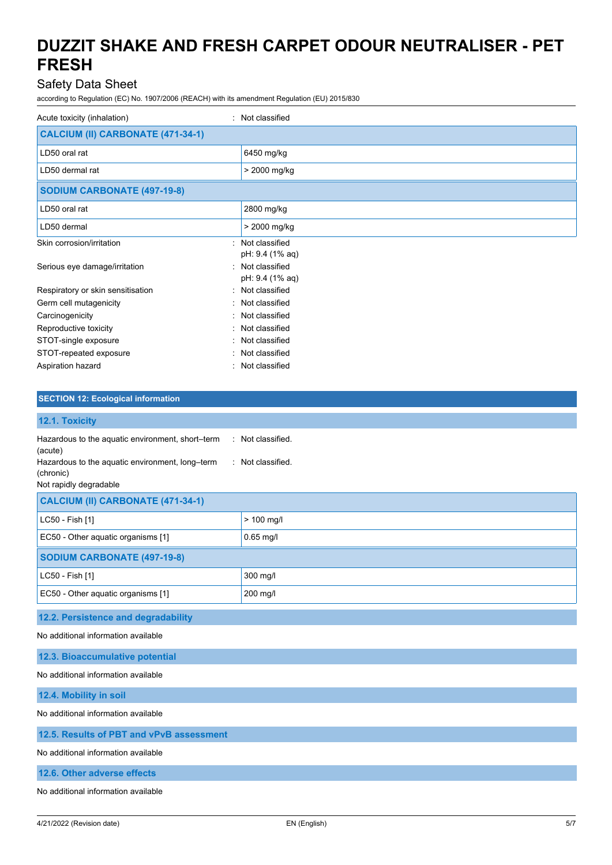## Safety Data Sheet

according to Regulation (EC) No. 1907/2006 (REACH) with its amendment Regulation (EU) 2015/830

| Acute toxicity (inhalation)<br>$\bullet$   | Not classified                      |
|--------------------------------------------|-------------------------------------|
| CALCIUM (II) CARBONATE (471-34-1)          |                                     |
| LD50 oral rat                              | 6450 mg/kg                          |
| LD50 dermal rat                            | > 2000 mg/kg                        |
| <b>SODIUM CARBONATE (497-19-8)</b>         |                                     |
| LD50 oral rat                              | 2800 mg/kg                          |
| LD50 dermal                                | > 2000 mg/kg                        |
| Skin corrosion/irritation                  | : Not classified<br>pH: 9.4 (1% aq) |
| Serious eye damage/irritation<br>$\bullet$ | Not classified<br>pH: 9.4 (1% aq)   |
| Respiratory or skin sensitisation          | : Not classified                    |
| Germ cell mutagenicity                     | : Not classified                    |
| Carcinogenicity                            | Not classified                      |
| Reproductive toxicity<br>۰.                | Not classified                      |
| STOT-single exposure                       | Not classified                      |
| STOT-repeated exposure                     | Not classified                      |
| Aspiration hazard                          | : Not classified                    |

### **SECTION 12: Ecological information**

| 12.1. Toxicity                                                                                                                                        |                                        |
|-------------------------------------------------------------------------------------------------------------------------------------------------------|----------------------------------------|
| Hazardous to the aquatic environment, short-term<br>(acute)<br>Hazardous to the aquatic environment, long-term<br>(chronic)<br>Not rapidly degradable | : Not classified.<br>: Not classified. |
| CALCIUM (II) CARBONATE (471-34-1)                                                                                                                     |                                        |
| LC50 - Fish [1]                                                                                                                                       | $> 100$ mg/l                           |
| EC50 - Other aquatic organisms [1]                                                                                                                    | $0.65$ mg/l                            |
| <b>SODIUM CARBONATE (497-19-8)</b>                                                                                                                    |                                        |
| LC50 - Fish [1]                                                                                                                                       | 300 mg/l                               |
| EC50 - Other aquatic organisms [1]                                                                                                                    | 200 mg/l                               |
| 12.2. Persistence and degradability                                                                                                                   |                                        |
| No additional information available                                                                                                                   |                                        |
| 12.3. Bioaccumulative potential                                                                                                                       |                                        |
| No additional information available                                                                                                                   |                                        |

**12.4. Mobility in soil**

No additional information available

#### **12.5. Results of PBT and vPvB assessment**

No additional information available

**12.6. Other adverse effects**

No additional information available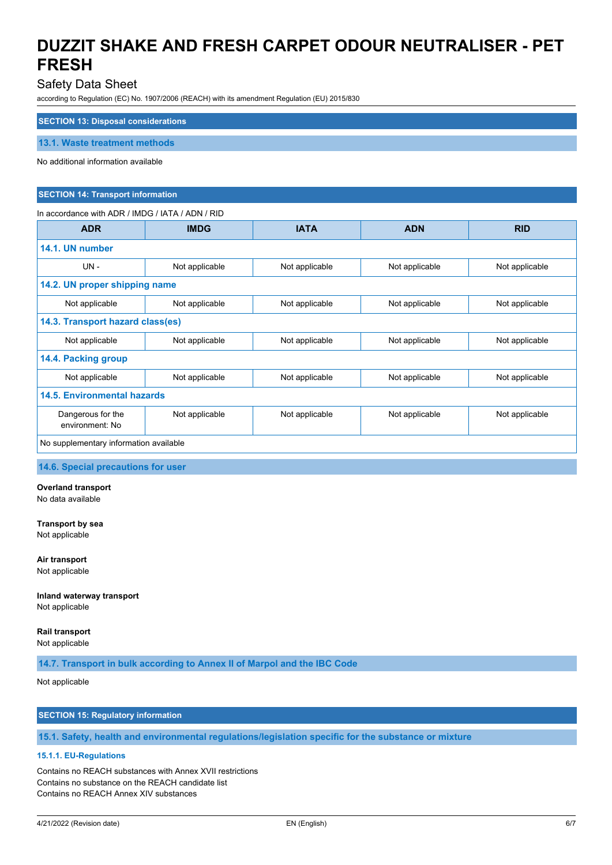### Safety Data Sheet

according to Regulation (EC) No. 1907/2006 (REACH) with its amendment Regulation (EU) 2015/830

#### **SECTION 13: Disposal considerations**

**13.1. Waste treatment methods**

#### No additional information available

#### **SECTION 14: Transport information**

#### In accordance with ADR / IMDG / IATA / ADN / RID

| <b>ADR</b>                             | <b>IMDG</b>    | <b>IATA</b>    | <b>ADN</b>     | <b>RID</b>     |  |
|----------------------------------------|----------------|----------------|----------------|----------------|--|
| 14.1. UN number                        |                |                |                |                |  |
| $UN -$                                 | Not applicable | Not applicable | Not applicable | Not applicable |  |
| 14.2. UN proper shipping name          |                |                |                |                |  |
| Not applicable                         | Not applicable | Not applicable | Not applicable | Not applicable |  |
| 14.3. Transport hazard class(es)       |                |                |                |                |  |
| Not applicable                         | Not applicable | Not applicable | Not applicable | Not applicable |  |
| 14.4. Packing group                    |                |                |                |                |  |
| Not applicable                         | Not applicable | Not applicable | Not applicable | Not applicable |  |
| 14.5. Environmental hazards            |                |                |                |                |  |
| Dangerous for the<br>environment: No   | Not applicable | Not applicable | Not applicable | Not applicable |  |
| No supplementary information available |                |                |                |                |  |

**14.6. Special precautions for user**

**Overland transport** No data available

**Transport by sea** Not applicable

**Air transport** Not applicable

**Inland waterway transport** Not applicable

**Rail transport**

Not applicable

**14.7. Transport in bulk according to Annex II of Marpol and the IBC Code**

Not applicable

### **SECTION 15: Regulatory information**

**15.1. Safety, health and environmental regulations/legislation specific for the substance or mixture**

#### **15.1.1. EU-Regulations**

Contains no REACH substances with Annex XVII restrictions Contains no substance on the REACH candidate list Contains no REACH Annex XIV substances